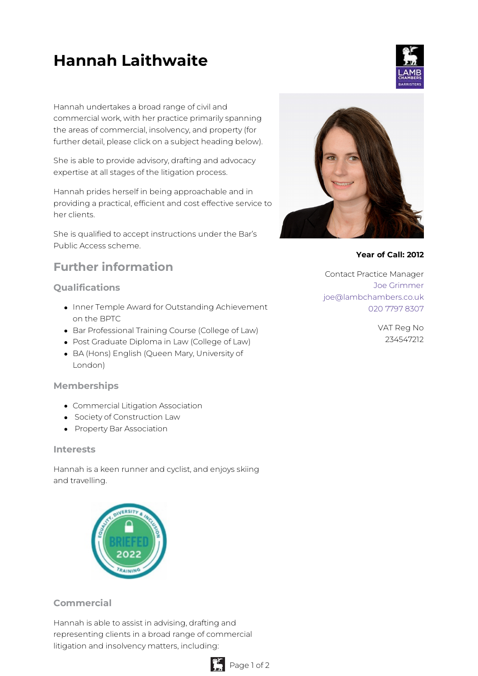# **Hannah Laithwaite**

Hannah undertakes a broad range of civil and commercial work, with her practice primarily spanning the areas of commercial, insolvency, and property (for further detail, please click on a subject heading below).

She is able to provide advisory, drafting and advocacy expertise at all stages of the litigation process.

Hannah prides herself in being approachable and in providing a practical, efficient and cost effective service to her clients.

She is qualified to accept instructions under the Bar's Public Access scheme.

# **Further information**

### **Qualifications**

- Inner Temple Award for Outstanding Achievement on the BPTC
- Bar Professional Training Course (College of Law)
- Post Graduate Diploma in Law (College of Law)
- BA (Hons) English (Queen Mary, University of London)

#### **Memberships**

- Commercial Litigation Association
- **•** Society of Construction Law
- Property Bar Association

#### **Interests**

Hannah is a keen runner and cyclist, and enjoys skiing and travelling.



## **Commercial**

Hannah is able to assist in advising, drafting and representing clients in a broad range of commercial litigation and insolvency matters, including:





#### **Year of Call: 2012**

Contact Practice Manager Joe [Grimmer](mailto:joe@lambchambers.co.uk) [joe@lambchambers.co.uk](mailto:joe@lambchambers.co.uk) 020 7797 [8307](tel:020%207797%208307)

> VAT Reg No 234547212